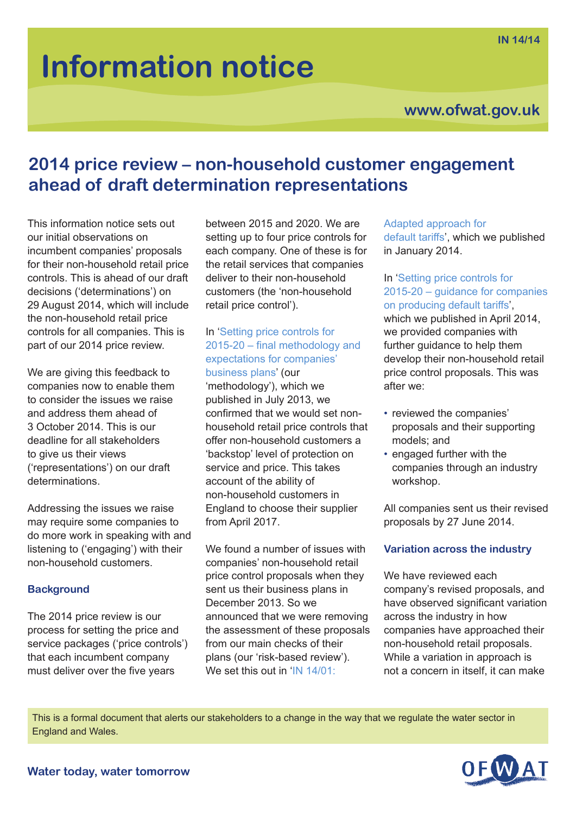# **Information notice**

### **www.ofwat.gov.uk**

## **2014 price review – non-household customer engagement ahead of draft determination representations**

This information notice sets out our initial observations on incumbent companies' proposals for their non-household retail price controls. This is ahead of our draft decisions ('determinations') on 29 August 2014, which will include the non-household retail price controls for all companies. This is part of our 2014 price review.

We are giving this feedback to companies now to enable them to consider the issues we raise and address them ahead of 3 October 2014. This is our deadline for all stakeholders to give us their views ('representations') on our draft determinations.

Addressing the issues we raise may require some companies to do more work in speaking with and listening to ('engaging') with their non-household customers.

#### **Background**

The 2014 price review is our process for setting the price and service packages ('price controls') that each incumbent company must deliver over the five years

between 2015 and 2020. We are setting up to four price controls for each company. One of these is for the retail services that companies deliver to their non-household customers (the 'non-household retail price control').

#### In ['Setting price controls for](http://www.ofwat.gov.uk/pricereview/pr14/prs_web201307finalapproach) [2015-20 – final methodology and](http://www.ofwat.gov.uk/pricereview/pr14/prs_web201307finalapproach) [expectations for companies'](http://www.ofwat.gov.uk/pricereview/pr14/prs_web201307finalapproach)

[business plans'](http://www.ofwat.gov.uk/pricereview/pr14/prs_web201307finalapproach) (our 'methodology'), which we published in July 2013, we confirmed that we would set nonhousehold retail price controls that offer non-household customers a 'backstop' level of protection on service and price. This takes account of the ability of non-household customers in England to choose their supplier from April 2017.

We found a number of issues with companies' non-household retail price control proposals when they sent us their business plans in December 2013. So we announced that we were removing the assessment of these proposals from our main checks of their plans (our 'risk-based review'). We set this out in ['IN 14/01:](http://www.ofwat.gov.uk/pricereview/pr14/pr14publications/prs_in1401pr14defaulttariffs.pdf)

#### [Adapted approach for](http://www.ofwat.gov.uk/pricereview/pr14/pr14publications/prs_in1401pr14defaulttariffs.pdf)

[default tariffs'](http://www.ofwat.gov.uk/pricereview/pr14/pr14publications/prs_in1401pr14defaulttariffs.pdf), which we published in January 2014.

#### In ['Setting price controls for](http://www.ofwat.gov.uk/pricereview/pr14/pr14publications/prs_in1401pr14defaulttariffs.pdf) [2015-20 – guidance for companies](http://www.ofwat.gov.uk/pricereview/pr14/pr14publications/prs_in1401pr14defaulttariffs.pdf) [on producing default tariffs'](http://www.ofwat.gov.uk/pricereview/pr14/pr14publications/prs_in1401pr14defaulttariffs.pdf),

which we published in April 2014, we provided companies with further quidance to help them develop their non-household retail price control proposals. This was after we:

- reviewed the companies' proposals and their supporting models; and
- engaged further with the companies through an industry workshop.

All companies sent us their revised proposals by 27 June 2014.

#### **Variation across the industry**

We have reviewed each company's revised proposals, and have observed significant variation across the industry in how companies have approached their non-household retail proposals. While a variation in approach is not a concern in itself, it can make

This is a formal document that alerts our stakeholders to a change in the way that we regulate the water sector in England and Wales.

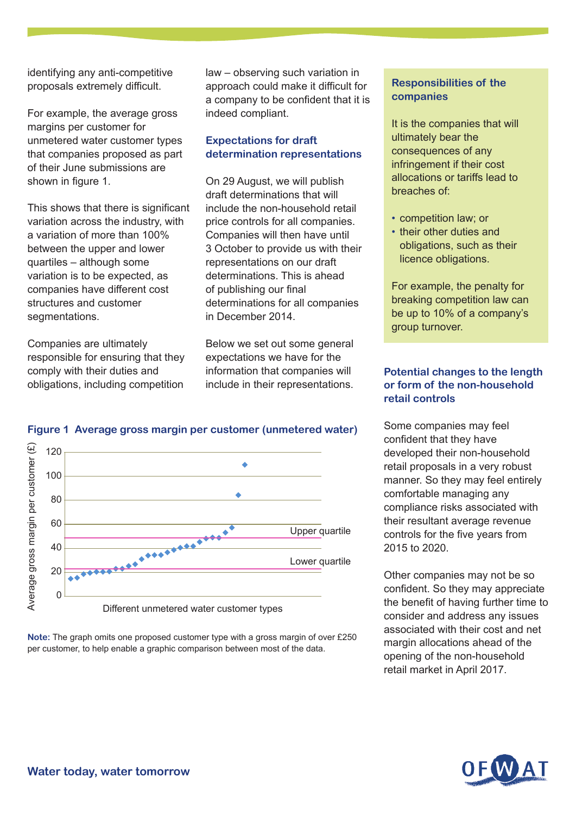identifying any anti-competitive proposals extremely difficult.

For example, the average gross margins per customer for unmetered water customer types that companies proposed as part of their June submissions are shown in figure 1.

This shows that there is significant variation across the industry, with a variation of more than 100% between the upper and lower quartiles – although some variation is to be expected, as companies have different cost structures and customer segmentations.

Companies are ultimately responsible for ensuring that they comply with their duties and obligations, including competition

law – observing such variation in approach could make it difficult for a company to be confident that it is indeed compliant.

#### **Expectations for draft determination representations**

On 29 August, we will publish draft determinations that will include the non-household retail price controls for all companies. Companies will then have until 3 October to provide us with their representations on our draft determinations. This is ahead of publishing our final determinations for all companies in December 2014.

Below we set out some general expectations we have for the information that companies will include in their representations.

#### **Figure 1 Average gross margin per customer (unmetered water)**



**Note:** The graph omits one proposed customer type with a gross margin of over £250 per customer, to help enable a graphic comparison between most of the data.

#### **Responsibilities of the companies**

It is the companies that will ultimately bear the consequences of any infringement if their cost allocations or tariffs lead to breaches of:

- competition law; or
- their other duties and obligations, such as their licence obligations.

For example, the penalty for breaking competition law can be up to 10% of a company's group turnover.

#### **Potential changes to the length or form of the non-household retail controls**

Some companies may feel confident that they have developed their non-household retail proposals in a very robust manner. So they may feel entirely comfortable managing any compliance risks associated with their resultant average revenue controls for the five years from 2015 to 2020.

Other companies may not be so confident. So they may appreciate the benefit of having further time to consider and address any issues associated with their cost and net margin allocations ahead of the opening of the non-household retail market in April 2017.

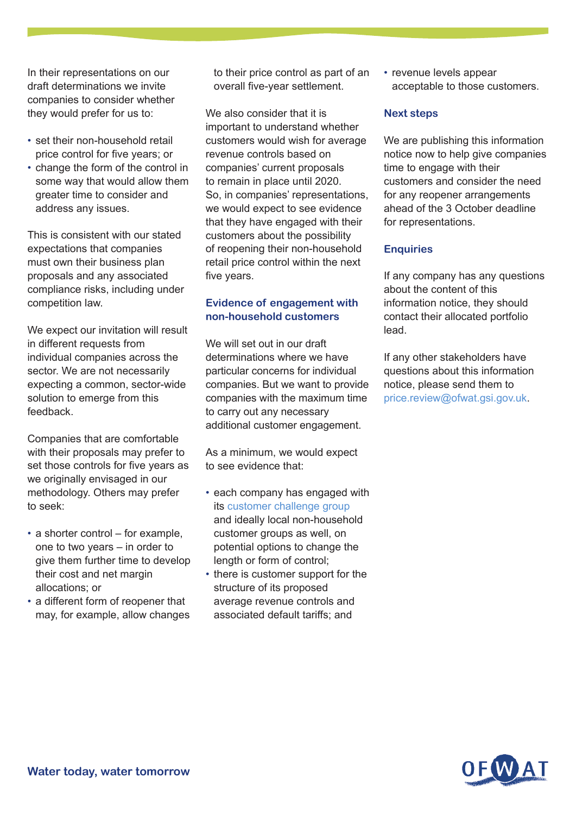In their representations on our draft determinations we invite companies to consider whether they would prefer for us to:

- set their non-household retail price control for five years; or
- change the form of the control in some way that would allow them greater time to consider and address any issues.

This is consistent with our stated expectations that companies must own their business plan proposals and any associated compliance risks, including under competition law.

We expect our invitation will result in different requests from individual companies across the sector. We are not necessarily expecting a common, sector-wide solution to emerge from this feedback.

Companies that are comfortable with their proposals may prefer to set those controls for five years as we originally envisaged in our methodology. Others may prefer to seek:

- $\cdot$  a shorter control for example, one to two years – in order to give them further time to develop their cost and net margin allocations; or
- a different form of reopener that may, for example, allow changes

to their price control as part of an overall five-year settlement.

We also consider that it is important to understand whether customers would wish for average revenue controls based on companies' current proposals to remain in place until 2020. So, in companies' representations, we would expect to see evidence that they have engaged with their customers about the possibility of reopening their non-household retail price control within the next five years.

#### **Evidence of engagement with non-household customers**

We will set out in our draft determinations where we have particular concerns for individual companies. But we want to provide companies with the maximum time to carry out any necessary additional customer engagement.

As a minimum, we would expect to see evidence that:

- each company has engaged with its [customer challenge group](http://www.ofwat.gov.uk/pricereview/pr14/customer/prs_201305ccg) and ideally local non-household customer groups as well, on potential options to change the length or form of control;
- there is customer support for the structure of its proposed average revenue controls and associated default tariffs; and

• revenue levels appear acceptable to those customers.

#### **Next steps**

We are publishing this information notice now to help give companies time to engage with their customers and consider the need for any reopener arrangements ahead of the 3 October deadline for representations.

#### **Enquiries**

If any company has any questions about the content of this information notice, they should contact their allocated portfolio lead.

If any other stakeholders have questions about this information notice, please send them to [price.review@ofwat.gsi.gov.uk.](mailto:price.review@ofwat.gsi.gov.uk)